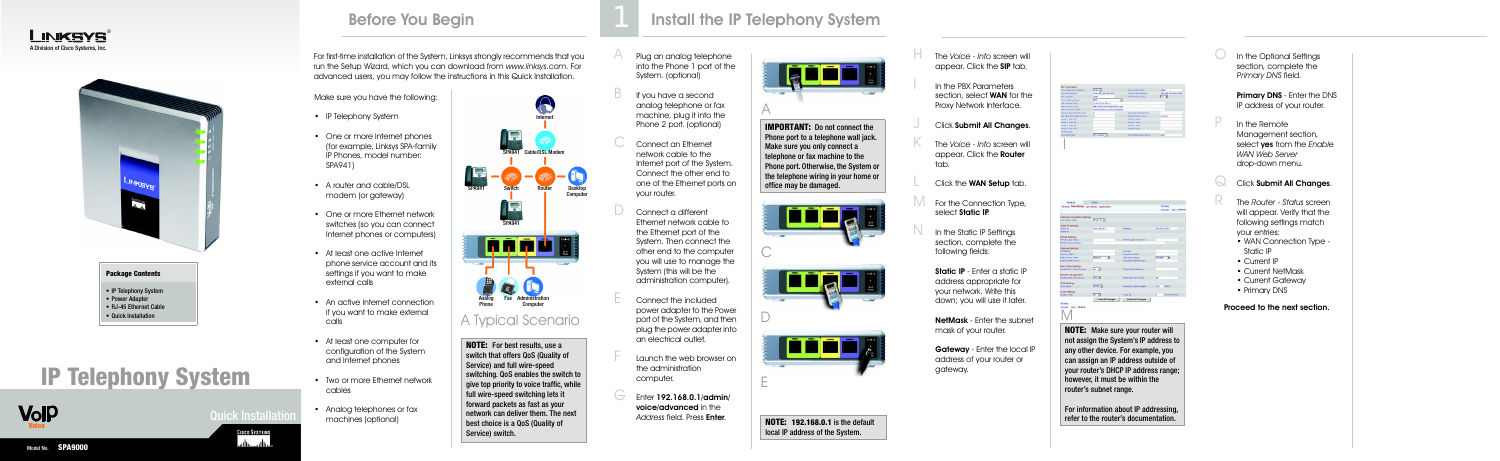





**Quick Installations** 

**CISCO SYSTEMS** أمثاليت مناسا • One or more Internet phones (for example, Linksys SPA-family IP Phones, model number:

Make sure you have the following:

• IP Telephony System

• One or more Ethernet network switches (so you can connect Internet phones or computers)

SPA941)

• A router and cable/DSL modem (or gateway)

- At least one active Internet phone service account and its settings if you want to make external calls
- An active Internet connection if you want to make external calls
- At least one computer for configuration of the System and Internet phones
- Two or more Ethernet network cables
- Analog telephones or fax machines (optional)
- Plug an analog telephone into the Phone 1 port of the System. (optional)
- If you have a second analog telephone or fax machine, plug it into the Phone 2 port. (optional)
- Connect an Ethernet network cable to the Internet port of the System. Connect the other end to one of the Ethernet ports on your router.
- Connect a different Ethernet network cable to the Ethernet port of the System. Then connect the other end to the computer you will use to manage the System (this will be the administration computer).
- E Connect the included power adapter to the Power port of the System, and then plug the power adapter into an electrical outlet.
- Launch the web browser on the administration computer.
- $G$  Enter 192.168.0.1/admin/ voice/advanced in the *Address* field. Press Enter.

The *Voice - Info* screen will appear. Click the SIP tab.

In the PBX Parameters section, select **WAN** for the Proxy Network Interface.

- Click Submit All Changes.
- The *Voice Info* screen will appear. Click the **Router** tab.
- Click the **WAN Setup** tab.
- For the Connection Type, select Static IP.
- In the Static IP Settings section, complete the following fields:
- Static IP Enter a static IP address appropriate for your network. Write this down; you will use it later.
- NetMask Enter the subnet mask of your router.
- Gateway Enter the local IP address of your router or gateway.

## Before You Begin **Install the IP Telephony System**



 $\bigcup$  In the Optional Settings section, complete the *Primary DNS* field.

> Primary DNS - Enter the DNS IP address of your router.

In the Remote Management section, select yes from the *Enable WAN Web Server*  drop-down menu.

Click Submit All Changes.

**IMPORTANT:** Do not connect the Phone port to a telephone wall jack. Make sure you only connect a telephone or fax machine to the Phone port. Otherwise, the System or the telephone wiring in your home or office may be damaged.



# **IP Telephony System**



- R The *Router Status* screen will appear. Verify that the following settings match your entries:
- WAN Connection Type Static IP
- Current IP
- Current NetMask
- Current Gateway
- Primary DNS

Proceed to the next section.

| Status: Wan Setup   Lan Setup   Application |                         |                              | <b>COLORADO</b>                    |
|---------------------------------------------|-------------------------|------------------------------|------------------------------------|
|                                             |                         |                              | <b>Liver Logge</b><br>tant i atomo |
|                                             |                         |                              |                                    |
| Internet Connection Settings                |                         |                              |                                    |
| Connection Type:                            | Water IP (s)            |                              |                                    |
| Static IP Settings                          |                         |                              |                                    |
| Static UPL                                  | 192,168,18.1            | <b>NatAkaski</b>             | 255, 255, 255, 8                   |
| Gatewayo                                    |                         |                              |                                    |
| <b>PPPoE Settings</b>                       |                         |                              |                                    |
| <b>PPPOE Lugar Name:</b>                    |                         | <b>FPPOS Legis Passworth</b> |                                    |
| <b>PPPOE Sarvice Name:</b>                  |                         |                              |                                    |
| Optional Settings                           |                         |                              |                                    |
| <b>Hireckans</b>                            |                         | Domain!                      |                                    |
| Primary DNS:                                |                         | Separatory DNS:              |                                    |
| DNS Servan Order:                           | ∍<br>Manual             | <b>DkS Query Made:</b>       | ন<br><b>Farallel</b>               |
| <b>Primary ATP Server:</b>                  |                         | Senardary NTF Servans        |                                    |
| <b>MAC Clone Settings</b>                   |                         |                              |                                    |
| Enable N&C Clane Service                    | <b>NO. 91</b>           | Closed MAT Andress:          |                                    |
| Remote Management                           |                         |                              |                                    |
| Englis WAN Web Servers                      | 111.2                   | <b>MAN Web Server Port:</b>  | <b>RD</b>                          |
| OOS Settings                                |                         |                              |                                    |
| DOS OCIANI                                  | <b>MONEY</b>            | Hasimum Uplink Speed:        | 3.28<br>[1344]                     |
| <b>VLAN Settings</b>                        |                         |                              |                                    |
| <b>Enable VLARI</b>                         | <b>BALL W</b>           | <b>VOM TOO</b>               | [8-500-0-PFF]<br>×                 |
|                                             | <b>Undo All Changes</b> | Submit All Changes           |                                    |
| <b>FILE SURVEY</b>                          |                         |                              |                                    |
| tam 1 shawed<br><b>Stort Legel</b>          |                         |                              |                                    |
|                                             |                         |                              |                                    |
|                                             |                         |                              |                                    |
|                                             |                         |                              |                                    |

### **Package Contents**

- IP Telephony System
- Power Adapter
- RJ-45 Ethernet Cable

## • Quick Installation

For first-time installation of the System, Linksys strongly recommends that you run the Setup Wizard, which you can download from *www.linksys.com*. For



**NOTE:** For best results, use a switch that offers QoS (Quality of Service) and full wire-speed switching. QoS enables the switch to qive top priority to voice traffic, while full wire-speed switching lets it forward packets as fast as your network can deliver them. The next best choice is a QoS (Quality of Service) switch.







**TEET** 

E



**NOTE: 192.168.0.1** is the default local IP address of the System.

**NOTE:** Make sure your router will not assign the System's IP address to any other device. For example, you can assign an IP address outside of your router's DHCP IP address range; however, it must be within the router's subnet range.

For information about IP addressing, refer to the router's documentation.